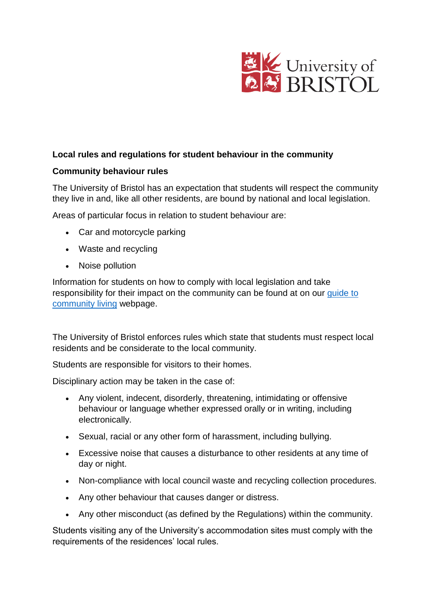

# **Local rules and regulations for student behaviour in the community**

#### **Community behaviour rules**

The University of Bristol has an expectation that students will respect the community they live in and, like all other residents, are bound by national and local legislation.

Areas of particular focus in relation to student behaviour are:

- Car and motorcycle parking
- Waste and recycling
- Noise pollution

Information for students on how to comply with local legislation and take responsibility for their impact on the community can be found at on our [guide to](http://www.bristol.ac.uk/accommodation/privately-rented/living-in-privately-rented-accommodation/living/)  [community](http://www.bristol.ac.uk/accommodation/privately-rented/living-in-privately-rented-accommodation/living/) living webpage.

The University of Bristol enforces rules which state that students must respect local residents and be considerate to the local community.

Students are responsible for visitors to their homes.

Disciplinary action may be taken in the case of:

- Any violent, indecent, disorderly, threatening, intimidating or offensive behaviour or language whether expressed orally or in writing, including electronically.
- Sexual, racial or any other form of harassment, including bullying.
- Excessive noise that causes a disturbance to other residents at any time of day or night.
- Non-compliance with local council waste and recycling collection procedures.
- Any other behaviour that causes danger or distress.
- Any other misconduct (as defined by the Regulations) within the community.

Students visiting any of the University's accommodation sites must comply with the requirements of the residences' local rules.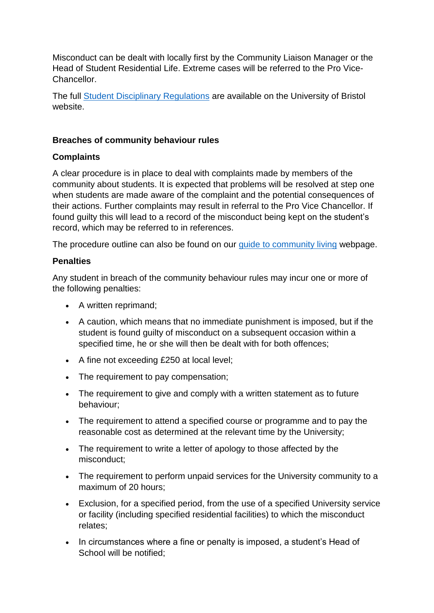Misconduct can be dealt with locally first by the Community Liaison Manager or the Head of Student Residential Life. Extreme cases will be referred to the Pro Vice-Chancellor.

The full [Student Disciplinary Regulations](http://www.bristol.ac.uk/media-library/sites/secretary/documents/student-rules-and-regs/student-disciplinary-regulations.pdf) are available on the University of Bristol website.

## **Breaches of community behaviour rules**

# **Complaints**

A clear procedure is in place to deal with complaints made by members of the community about students. It is expected that problems will be resolved at step one when students are made aware of the complaint and the potential consequences of their actions. Further complaints may result in referral to the Pro Vice Chancellor. If found guilty this will lead to a record of the misconduct being kept on the student's record, which may be referred to in references.

The procedure outline can also be found on our [guide to community living](http://www.bristol.ac.uk/accommodation/privately-rented/living-in-privately-rented-accommodation/living/) webpage.

# **Penalties**

Any student in breach of the community behaviour rules may incur one or more of the following penalties:

- A written reprimand;
- A caution, which means that no immediate punishment is imposed, but if the student is found guilty of misconduct on a subsequent occasion within a specified time, he or she will then be dealt with for both offences;
- A fine not exceeding £250 at local level;
- The requirement to pay compensation;
- The requirement to give and comply with a written statement as to future behaviour;
- The requirement to attend a specified course or programme and to pay the reasonable cost as determined at the relevant time by the University;
- The requirement to write a letter of apology to those affected by the misconduct;
- The requirement to perform unpaid services for the University community to a maximum of 20 hours;
- Exclusion, for a specified period, from the use of a specified University service or facility (including specified residential facilities) to which the misconduct relates;
- In circumstances where a fine or penalty is imposed, a student's Head of School will be notified;